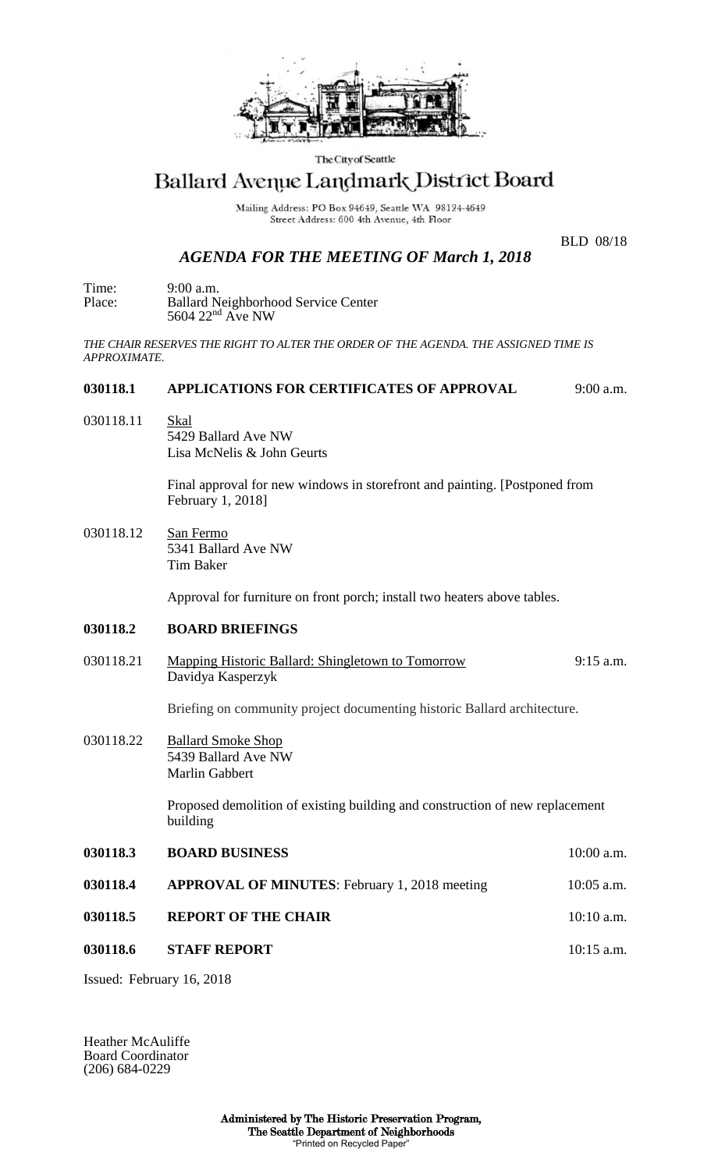

The City of Seattle

# Ballard Avenue Landmark District Board

Mailing Address: PO Box 94649, Seattle WA 98124-4649 Street Address: 600 4th Avenue, 4th Floor

## *AGENDA FOR THE MEETING OF March 1, 2018*

BLD 08/18

Time: 9:00 a.m. Place: Ballard Neighborhood Service Center  $5604$   $22<sup>nd</sup>$  Ave NW

*THE CHAIR RESERVES THE RIGHT TO ALTER THE ORDER OF THE AGENDA. THE ASSIGNED TIME IS APPROXIMATE.*

#### **030118.1 APPLICATIONS FOR CERTIFICATES OF APPROVAL** 9:00 a.m.

030118.11 Skal 5429 Ballard Ave NW Lisa McNelis & John Geurts

> Final approval for new windows in storefront and painting. [Postponed from February 1, 2018]

030118.12 San Fermo 5341 Ballard Ave NW Tim Baker

Approval for furniture on front porch; install two heaters above tables.

### **030118.2 BOARD BRIEFINGS**

030118.21 Mapping Historic Ballard: Shingletown to Tomorrow 9:15 a.m. Davidya Kasperzyk

Briefing on community project documenting historic Ballard architecture.

030118.22 Ballard Smoke Shop 5439 Ballard Ave NW Marlin Gabbert

> Proposed demolition of existing building and construction of new replacement building

**030118.3 BOARD BUSINESS** 10:00 a.m. **030118.4 APPROVAL OF MINUTES**: February 1, 2018 meeting 10:05 a.m. **030118.5 REPORT OF THE CHAIR 10:10 a.m. 030118.6 STAFF REPORT 10:15 a.m.** 

Issued: February 16, 2018

Heather McAuliffe Board Coordinator (206) 684-0229